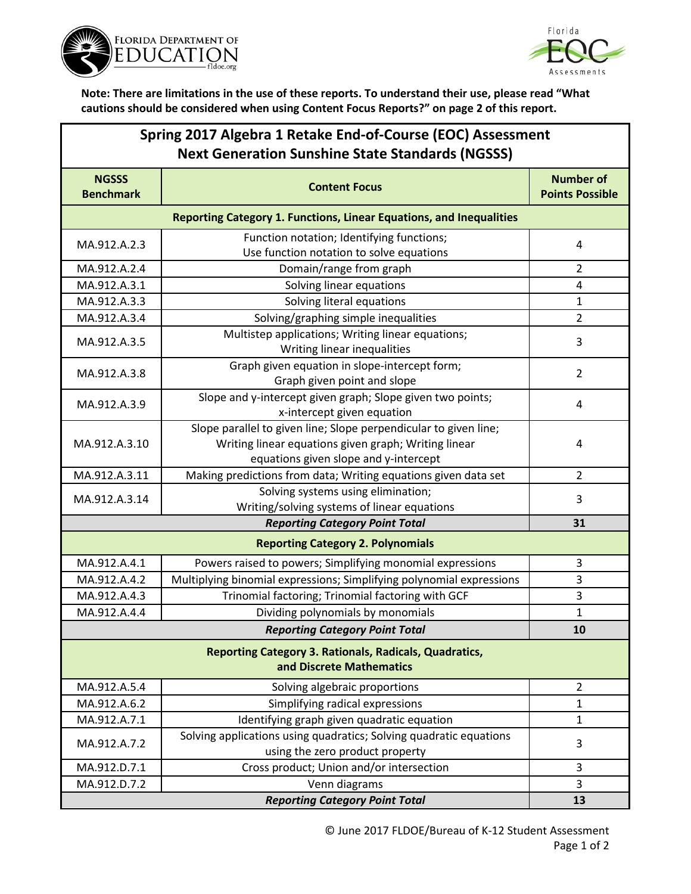



**Note: There are limitations in the use of these reports. To understand their use, please read "What cautions should be considered when using Content Focus Reports?" on page 2 of this report.**

| Spring 2017 Algebra 1 Retake End-of-Course (EOC) Assessment<br><b>Next Generation Sunshine State Standards (NGSSS)</b> |                                                                                                                                                                   |                                            |
|------------------------------------------------------------------------------------------------------------------------|-------------------------------------------------------------------------------------------------------------------------------------------------------------------|--------------------------------------------|
| <b>NGSSS</b><br><b>Benchmark</b>                                                                                       | <b>Content Focus</b>                                                                                                                                              | <b>Number of</b><br><b>Points Possible</b> |
| Reporting Category 1. Functions, Linear Equations, and Inequalities                                                    |                                                                                                                                                                   |                                            |
| MA.912.A.2.3                                                                                                           | Function notation; Identifying functions;<br>Use function notation to solve equations                                                                             | 4                                          |
| MA.912.A.2.4                                                                                                           | Domain/range from graph                                                                                                                                           | $\overline{2}$                             |
| MA.912.A.3.1                                                                                                           | Solving linear equations                                                                                                                                          | 4                                          |
| MA.912.A.3.3                                                                                                           | Solving literal equations                                                                                                                                         | $\mathbf{1}$                               |
| MA.912.A.3.4                                                                                                           | Solving/graphing simple inequalities                                                                                                                              | $\overline{2}$                             |
| MA.912.A.3.5                                                                                                           | Multistep applications; Writing linear equations;<br>Writing linear inequalities                                                                                  | 3                                          |
| MA.912.A.3.8                                                                                                           | Graph given equation in slope-intercept form;<br>Graph given point and slope                                                                                      | $\overline{2}$                             |
| MA.912.A.3.9                                                                                                           | Slope and y-intercept given graph; Slope given two points;<br>x-intercept given equation                                                                          | $\overline{4}$                             |
| MA.912.A.3.10                                                                                                          | Slope parallel to given line; Slope perpendicular to given line;<br>Writing linear equations given graph; Writing linear<br>equations given slope and y-intercept | $\overline{4}$                             |
| MA.912.A.3.11                                                                                                          | Making predictions from data; Writing equations given data set                                                                                                    | $\overline{2}$                             |
| MA.912.A.3.14                                                                                                          | Solving systems using elimination;<br>Writing/solving systems of linear equations                                                                                 | 3                                          |
|                                                                                                                        | <b>Reporting Category Point Total</b>                                                                                                                             | 31                                         |
| <b>Reporting Category 2. Polynomials</b>                                                                               |                                                                                                                                                                   |                                            |
| MA.912.A.4.1                                                                                                           | Powers raised to powers; Simplifying monomial expressions                                                                                                         | 3                                          |
| MA.912.A.4.2                                                                                                           | Multiplying binomial expressions; Simplifying polynomial expressions                                                                                              | 3                                          |
| MA.912.A.4.3                                                                                                           | Trinomial factoring; Trinomial factoring with GCF                                                                                                                 | $\mathsf 3$                                |
| MA.912.A.4.4                                                                                                           | Dividing polynomials by monomials                                                                                                                                 | $\mathbf 1$                                |
|                                                                                                                        | <b>Reporting Category Point Total</b>                                                                                                                             | 10                                         |
| <b>Reporting Category 3. Rationals, Radicals, Quadratics,</b><br>and Discrete Mathematics                              |                                                                                                                                                                   |                                            |
| MA.912.A.5.4                                                                                                           | Solving algebraic proportions                                                                                                                                     | $\overline{2}$                             |
| MA.912.A.6.2                                                                                                           | Simplifying radical expressions                                                                                                                                   | 1                                          |
| MA.912.A.7.1                                                                                                           | Identifying graph given quadratic equation                                                                                                                        | $\mathbf{1}$                               |
| MA.912.A.7.2                                                                                                           | Solving applications using quadratics; Solving quadratic equations<br>using the zero product property                                                             | $\mathbf{3}$                               |
| MA.912.D.7.1                                                                                                           | Cross product; Union and/or intersection                                                                                                                          | 3                                          |
| MA.912.D.7.2                                                                                                           | Venn diagrams                                                                                                                                                     | $\overline{3}$                             |
|                                                                                                                        | 13                                                                                                                                                                |                                            |